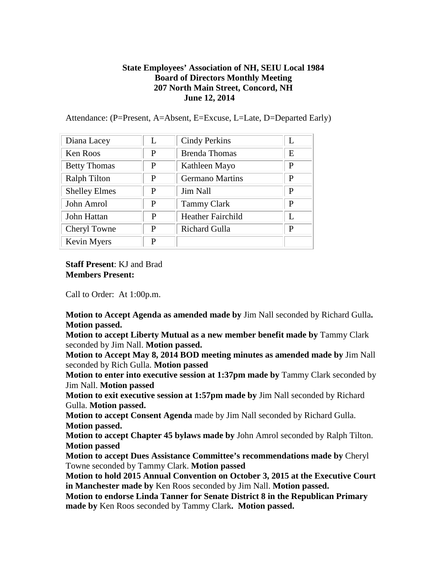## **State Employees' Association of NH, SEIU Local 1984 Board of Directors Monthly Meeting 207 North Main Street, Concord, NH June 12, 2014**

Attendance: (P=Present, A=Absent, E=Excuse, L=Late, D=Departed Early)

| Diana Lacey          | $\mathbf{L}$ | <b>Cindy Perkins</b>     | L |
|----------------------|--------------|--------------------------|---|
| <b>Ken Roos</b>      | P            | <b>Brenda Thomas</b>     | E |
| <b>Betty Thomas</b>  | P            | Kathleen Mayo            | P |
| <b>Ralph Tilton</b>  | P            | <b>Germano Martins</b>   | P |
| <b>Shelley Elmes</b> | P            | Jim Nall                 | P |
| John Amrol           | P            | <b>Tammy Clark</b>       | P |
| John Hattan          | P            | <b>Heather Fairchild</b> | L |
| Cheryl Towne         | P            | Richard Gulla            | P |
| Kevin Myers          | P            |                          |   |

**Staff Present**: KJ and Brad **Members Present:** 

Call to Order: At 1:00p.m.

**Motion to Accept Agenda as amended made by** Jim Nall seconded by Richard Gulla**. Motion passed.**

**Motion to accept Liberty Mutual as a new member benefit made by** Tammy Clark seconded by Jim Nall. **Motion passed.**

**Motion to Accept May 8, 2014 BOD meeting minutes as amended made by** Jim Nall seconded by Rich Gulla. **Motion passed**

**Motion to enter into executive session at 1:37pm made by** Tammy Clark seconded by Jim Nall. **Motion passed**

**Motion to exit executive session at 1:57pm made by** Jim Nall seconded by Richard Gulla. **Motion passed.**

**Motion to accept Consent Agenda** made by Jim Nall seconded by Richard Gulla. **Motion passed.**

**Motion to accept Chapter 45 bylaws made by** John Amrol seconded by Ralph Tilton. **Motion passed**

**Motion to accept Dues Assistance Committee's recommendations made by** Cheryl Towne seconded by Tammy Clark. **Motion passed**

**Motion to hold 2015 Annual Convention on October 3, 2015 at the Executive Court in Manchester made by** Ken Roos seconded by Jim Nall. **Motion passed.**

**Motion to endorse Linda Tanner for Senate District 8 in the Republican Primary made by** Ken Roos seconded by Tammy Clark**. Motion passed.**